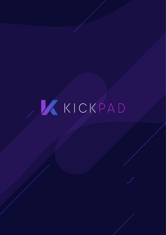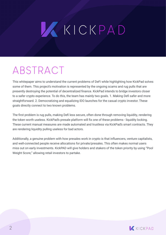# WKICKPAD

### ABSTRACT

This whitepaper aims to understand the current problems of DeFi while highlighting how KickPad solves some of them. This project's motivation is represented by the ongoing scams and rug pulls that are presently destroying the potential of decentralized finance. KickPad intends to bridge investors closer to a safer crypto experience. To do this, the team has mainly two goals. 1. Making Defi safer and more straightforward. 2. Democratizing and equalizing IDO launches for the casual crypto investor. These goals directly connect to two known problems.

The first problem is rug pulls, making Defi less secure, often done through removing liquidity, rendering the token worth useless. KickPad's presale platform will fix one of these problems - liquidity locking. These current manual measures are made automated and trustless via KickPad's smart contracts. They are rendering liquidity pulling useless for bad actors.

Additionally, a genuine problem with how presales work in crypto is that influencers, venture capitalists, and well-connected people receive allocations for private/presales. This often makes normal users miss out on early investments. KickPAD will give holders and stakers of the token priority by using "Pool Weight Score," allowing retail investors to partake.

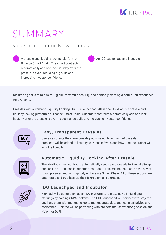

### SUMMARY

#### KickPad is primarily two things:

1 A presale and liquidity-locking platform on **2** An IDO Launchpad and incubator. Binance Smart Chain. The smart contracts automatically add and lock liquidity after the presale is over - reducing rug pulls and increasing investor confidence.

KickPad's goal is to minimize rug pull, maximize security, and primarily creating a better Defi experience for everyone.

Presales with automatic Liquidity Locking. An IDO Launchpad. All-in-one. KickPad is a presale and liquidity-locking platform on Binance Smart Chain. Our smart contracts automatically add and lock liquidity after the presale is over - reducing rug pulls and increasing investor confidence.



#### Easy, Transparent Presales

Users can create their own presale pools, select how much of the sale proceeds will be added to liquidity to PancakeSwap, and how long the project will lock the liquidity.



#### Automatic Liquidity Locking After Presale

The KickPad smart contracts automatically send sale proceeds to PancakeSwap and lock the LP tokens in our smart contracts. This means that users have a way to run presales and lock liquidity on Binance Smart Chain. All of these actions are automated and trustless via the KickPad smart contracts.



#### IDO Launchpad and Incubator

KickPad will also function as an IDO platform to join exclusive initial digital offerings by holding \$KPAD tokens. The IDO Launchpad will partner with projects and help them with marketing, go-to-market strategies, and technical advice and assistance. KickPad will be partnering with projects that show strong passion and vision for DeFi.

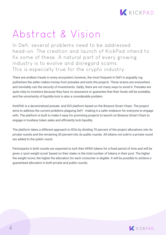

### Abstract & Vision

In Defi, several problems need to be addressed head-on. The creation and launch of KickPad intend to fix some of these. A natural part of every growing industry is to evolve and disregard scams. This is especially true for the crypto industry.

There are endless frauds in every ecosystem; however, the most frequent in DeFi is arguably rug pull(where the seller makes money from presales and exits the project). These scams are everywhere and inevitably ruin the security of investments. Sadly, there are not many ways to avoid it. Presales are quite risky to investors because they have no assurance or guarantee that their funds will be available, and the uncertainty of liquidity-lock is also a considerable problem.

KickPAD is a decentralized presale- and IDO platform based on the Binance Smart Chain. The project aims to address the current problems plaguing DeFi - making it a safer endeavor for everyone to engage with. The platform is built to make it easy for promising projects to launch on Binance Smart Chain to engage in trustless token sales and efficiently lock liquidity.

The platform takes a different approach to IDOs by dividing 70 percent of the project allocations into its private rounds and the remaining 30 percent into its public rounds. All tokens not sold in a private round are added to the public round.

Participants in both rounds are expected to lock their KPAD tokens for a fixed period of time and will be given a 'pool weight score' based on their stake vs the total number of tokens in their pool. The higher the weight score, the higher the allocation for each consumer is eligible. It will be possible to achieve a guaranteed allocation in both private and public rounds.

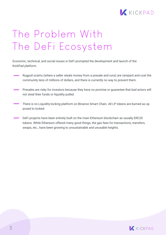

## The Problem With The DeFi Ecosystem

Economic, technical, and social issues in DeFi prompted the development and launch of the KickPad platform.

- Rugpull scams (where a seller steals money from a presale and runs) are rampant and cost the community tens of millions of dollars, and there is currently no way to prevent them.
- Presales are risky for investors because they have no promise or guarantee that bad actors will not steal their funds or liquidity pulled.
- There is no Liquidity-locking platform on Binance Smart Chain. All LP tokens are burned as op posed to locked.
- DeFi projects have been entirely built on the main Ethereum blockchain as usually ERC20 tokens. While Ethereum offered many good things, the gas fees for transactions, transfers, swaps, etc., have been growing to unsustainable and unusable heights.

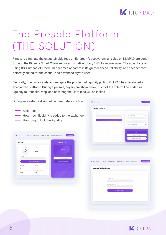

## The Presale Platform (THE SOLUTION)

Firstly, to eliminate the unsustainable fees on Ethereum's ecosystem, all sales on KickPAD are done through the Binance Smart Chain and uses its native token, BNB, to secure sales. The advantage of using BSC instead of Ethereum becomes apparent in its greater speed, reliability, and cheaper fees perfectly suited for the casual- and advanced crypto user.

Secondly, to ensure safety and mitigate the problem of liquidity pulling KickPAD has developed a specialized platform. During a presale, buyers are shown how much of the sale will be added as liquidity to PancakeSwap, and how long the LP tokens will be locked.

During sale setup, sellers define parameters such as:

- Sale Price
- How much liquidity is added to the exchange
- **How long to lock the liquidity**

| Join Pool                            |                                        | <b>Join the Pool</b>   |
|--------------------------------------|----------------------------------------|------------------------|
| Percentage of Liquidity to be locked | Lockup Duration                        |                        |
| $20*$                                | 9 Days                                 | <b>Sale Ended!</b>     |
|                                      |                                        |                        |
| Pool Address*                        |                                        | Withdraw Tokens >      |
|                                      |                                        |                        |
|                                      | Check Sale Progress                    | Emergency Withdraw BNB |
| Token Symbol                         | Token Name                             |                        |
| Token Address                        |                                        |                        |
| $1$ BNB =                            | PanCakeSwap Listing Ratio<br>$1 BNB =$ |                        |

|                                   | <b>Manage Your Pools</b> |                                  |                    |                                   |                  |
|-----------------------------------|--------------------------|----------------------------------|--------------------|-----------------------------------|------------------|
| Pool Address *                    |                          |                                  |                    | STEP 1 END SALE                   | $\rightarrow$    |
|                                   |                          | Show Your Lockup Contact Address |                    | STEP 2 GET PANCAKESWAP APPROVAL → |                  |
|                                   |                          |                                  |                    | STEP 3 ADD LIQUIDITY              | $\rightarrow$    |
|                                   |                          |                                  |                    | Abruptly End Sale                 |                  |
|                                   |                          |                                  |                    | Withdraw Sale BNB ≥               |                  |
|                                   |                          |                                  |                    | Withdraw Leftover Tokens ¥        |                  |
|                                   |                          |                                  |                    |                                   |                  |
|                                   |                          |                                  |                    |                                   |                  |
|                                   |                          |                                  |                    |                                   |                  |
|                                   |                          |                                  |                    |                                   |                  |
|                                   |                          |                                  |                    |                                   |                  |
|                                   |                          |                                  |                    |                                   |                  |
|                                   |                          |                                  |                    |                                   |                  |
|                                   |                          |                                  |                    |                                   |                  |
|                                   |                          |                                  | Manage Your Pools  | Manage LP Lockup Contract         | Connect Wallet > |
|                                   |                          |                                  |                    |                                   |                  |
| Manage LP Lockup Contract         |                          |                                  |                    |                                   |                  |
|                                   |                          |                                  |                    |                                   |                  |
|                                   |                          |                                  |                    |                                   |                  |
|                                   |                          |                                  |                    |                                   |                  |
|                                   |                          | Lockup Contract Address          |                    |                                   |                  |
|                                   |                          |                                  |                    |                                   |                  |
|                                   |                          | PanCakeSwap Token Address        |                    |                                   |                  |
|                                   |                          |                                  |                    |                                   |                  |
|                                   |                          |                                  |                    |                                   |                  |
|                                   |                          |                                  | 6 Unlock LP Tokens |                                   |                  |
|                                   |                          |                                  |                    |                                   |                  |
| KICKPAD Join Pool Create New Sale |                          |                                  |                    |                                   |                  |

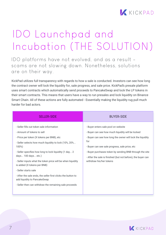

## IDO Launchpad and Incubation (THE SOLUTION)

IDO platforms have not evolved, and as a result scams are not slowing down. Nonetheless, solutions are on their way.

KickPad utilizes full transparency with regards to how a sale is conducted. Investors can see how long the contract owner will lock the liquidity for, sale progress, and sale price. KickPad's presale platform uses smart contracts which automatically send proceeds to PancakeSwap and lock the LP tokens in their smart contracts. This means that users have a way to run presales and lock liquidity on Binance Smart Chain. All of these actions are fully automated - Essentially making the liquidity rug pull much harder for bad actors.

| <b>SELLER-SIDE</b>                                                                                                                                                                                                                                                                                                                                                                                                                                                                                                                                      | <b>BUYER-SIDE</b>                                                                                                                                                                                                                                                                                                                                                     |
|---------------------------------------------------------------------------------------------------------------------------------------------------------------------------------------------------------------------------------------------------------------------------------------------------------------------------------------------------------------------------------------------------------------------------------------------------------------------------------------------------------------------------------------------------------|-----------------------------------------------------------------------------------------------------------------------------------------------------------------------------------------------------------------------------------------------------------------------------------------------------------------------------------------------------------------------|
| - Seller fills out token sale information<br>- Amount of tokens to sell<br>- Price per token (X tokens per BNB), etc<br>- Seller selects how much liquidity to lock (10%, 20%<br>100%)<br>- Seller specifies how long to lock liquidity (1 day 2<br>days 100 days etc.)<br>- Seller inputs what the token price will be when liquidity<br>is added (X tokens per BNB)<br>- Seller starts sale<br>- After the sale ends, the seller first clicks the button to<br>add liquidity to PancakeSwap<br>- Seller then can withdraw the remaining sale proceeds | - Buyer enters sale pool on website<br>- Buyer can see how much liquidity will be locked<br>- Buyer can see how long the owner will lock the liquidity<br>for<br>- Buyer can see sale progress, sale price, etc<br>- Buyer purchases token by sending BNB through the site<br>- After the sale is finished (but not before), the buyer can<br>withdraw his/her tokens |

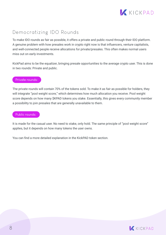

#### Democratizing IDO Rounds

To make IDO rounds as fair as possible, it offers a private and public round through their IDO platform. A genuine problem with how presales work in crypto right now is that influencers, venture capitalists, and well-connected people receive allocations for private/presales. This often makes normal users miss out on early investments.

KickPad aims to be the equalizer, bringing presale opportunities to the average crypto user. This is done in two rounds: Private and public.

#### Private rounds:

The private rounds will contain 70% of the tokens sold. To make it as fair as possible for holders, they will integrate "pool weight score," which determines how much allocation you receive. Pool weight score depends on how many \$KPAD tokens you stake. Essentially, this gives every community member a possibility to join presales that are generally unavailable to them.

#### Public rounds:

It is made for the casual user. No need to stake, only hold. The same principle of "pool weight score" applies, but it depends on how many tokens the user owns.

You can find a more detailed explanation in the KickPAD token section.

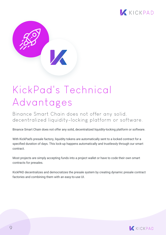



## KickPad's Technical Advantages

Binance Smart Chain does not offer any solid, decentralized liquidity-locking platform or software.

Binance Smart Chain does not offer any solid, decentralized liquidity-locking platform or software.

With KickPad's presale factory, liquidity tokens are automatically sent to a locked contract for a specified duration of days. This lock-up happens automatically and trustlessly through our smart contract.

Most projects are simply accepting funds into a project wallet or have to code their own smart contracts for presales.

KickPAD decentralizes and democratizes the presale system by creating dynamic presale contract factories and combining them with an easy-to-use UI.

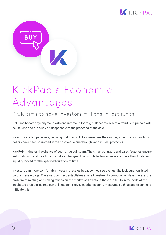



## KickPad's Economic Advantages

#### KICK aims to save investors millions in lost funds.

DeFi has become synonymous with and infamous for "rug pull" scams, where a fraudulent presale will sell tokens and run away or disappear with the proceeds of the sale.

Investors are left penniless, knowing that they will likely never see their money again. Tens of millions of dollars have been scammed in the past year alone through various DeFi protocols.

KickPAD mitigates the chance of such a rug pull scam. The smart contracts and sales factories ensure automatic add and lock liquidity onto exchanges. This simple fix forces sellers to have their funds and liquidity locked for the specified duration of time.

Investors can more comfortably invest in presales because they see the liquidity lock duration listed on the presale page. The smart contract establishes a safe investment - unruggable. Nevertheless, the problem of minting and selling tokens on the market still exists. If there are faults in the code of the incubated projects, scams can still happen. However, other security measures such as audits can help mitigate this.

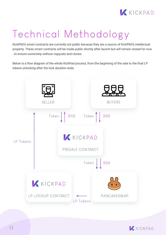

## Technical Methodology

KickPAD's smart contracts are currently not public because they are a source of KickPAD's intellectual property. These smart contracts will be made public shortly after launch but will remain closed for now - to ensure ownership without copycats and clones.

Below is a flow diagram of the whole KickPad process, from the beginning of the sale to the final LP tokens unlocking after the lock duration ends.



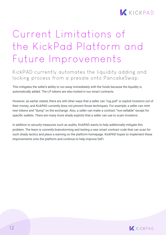

### Current Limitations of the KickPad Platform and Future Improvements

#### KickPAD currently automates the liquidity adding and locking process from a presale onto PancakeSwap.

This mitigates the seller's ability to run away immediately with the funds because the liquidity is automatically added. The LP tokens are also locked in our smart contracts.

However, as earlier stated, there are still other ways that a seller can "rug pull" or exploit investors out of their money, and KickPAD currently does not prevent those techniques. For example, a seller can mint new tokens and "dump" on the exchange. Also, a seller can make a contract "non-sellable" except for specific wallets. There are many more shady exploits that a seller can use to scam investors.

In addition to security measures such as audits, KickPAD wants to help additionally mitigate this problem. The team is currently brainstorming and testing a new smart contract code that can scan for such shady tactics and place a warning on the platform homepage. KickPAD hopes to implement these improvements onto the platform and continue to help improve DeFi.

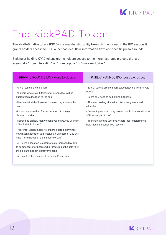

### The KickPAD Token

The KickPAD native token(\$KPAD) is a membership utility token. As mentioned in the IDO section, it grants holders access to IDO Launchpad deal-flow, information flow, and specific presale rounds.

Staking or holding KPAD tokens grants holders access to the more restricted projects that are essentially "more interesting" or "more popular" or "more exclusive."

| <b>PRIVATE ROUNDS IDO (More Exclusive)</b>                                                                                                                                                                                                                                                                                                                                                                                                                                                                                                                                                                                                                                                                                                           | PUBLIC ROUNDS IDO (Less Exclusive)                                                                                                                                                                                                                                                                                                                                      |
|------------------------------------------------------------------------------------------------------------------------------------------------------------------------------------------------------------------------------------------------------------------------------------------------------------------------------------------------------------------------------------------------------------------------------------------------------------------------------------------------------------------------------------------------------------------------------------------------------------------------------------------------------------------------------------------------------------------------------------------------------|-------------------------------------------------------------------------------------------------------------------------------------------------------------------------------------------------------------------------------------------------------------------------------------------------------------------------------------------------------------------------|
| -70% of tokens are sold here<br>-All users who stake X tokens for seven days will be<br>quaranteed allocation to the sale<br>- Users must stake X tokens for seven days before the<br>sale<br>-Tokens are locked up for the duration of time you<br>choose to stake<br>- Depending on how many tokens you stake, you will earn<br>a "Pool Weight Score."<br>- Your Pool Weight Score vs. others' score determines<br>how much allocation you receive (i.e., a score of 250 will<br>have more allocation than a score of 249)<br>- All users' allocation is automatically increased by 10%<br>to compensate for people who forget/miss the sale to fill<br>the sale and not have leftover tokens<br>- All unsold tokens are sent to Public Round sale | -30% of tokens are sold here (plus leftovers from Private<br>Round)<br>- Users only need to be holding X tokens<br>- All users holding at least X tokens are guaranteed<br>allocation<br>- Depending on how many tokens they hold, they will earn<br>a "Pool Weight Score."<br>- Your Pool Weight Score vs. others' score determines<br>how much allocation you receive |

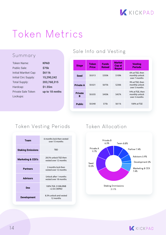

### Token Metrics

#### Summary

| Token Name:               | KPAD           |
|---------------------------|----------------|
| Public Sale:              | <b>\$75k</b>   |
| Initial Martket Cap:      | \$611k         |
| Initial Circ Supply:      | 15,290,242     |
| <b>Total Supply:</b>      | 203,768,315    |
| Hardcap:                  | \$1.55m        |
| <b>Private Sale Token</b> | up to 18 mnths |
| Lockups:                  |                |
|                           |                |

#### Sale Info and Vesting

| <b>Stage</b>        | Token<br><b>Price</b> | <b>Funds</b><br><b>Raised</b> | <b>Market</b><br>Cap at<br><b>Round</b> | <b>Vesting</b><br><b>Periods</b>                    |
|---------------------|-----------------------|-------------------------------|-----------------------------------------|-----------------------------------------------------|
| <b>Seed</b>         | \$0.013               | \$350k                        | \$109k                                  | 6% at TGE, then<br>monthly unlock<br>over 7 months  |
| <b>Private A</b>    | \$0.021               | \$675k                        | \$236k                                  | 9% at TGE, then<br>monthly unlock<br>over 5 months  |
| <b>Private</b><br>B | \$0.035               | \$450k                        | \$457k                                  | 14% at TGE, then<br>monthly unlock<br>over 3 months |
| <b>Public</b>       | \$0.040               | \$75k                         | \$611k                                  | 100% at TGE                                         |

#### Token Vesting Periods

| Team                         | 6 months lock then vested<br>over 15 months    |
|------------------------------|------------------------------------------------|
| <b>Staking Emissions</b>     | <b>TBD</b>                                     |
| <b>Marketing &amp; CEX's</b> | 28.5% unlock TGE then<br>vested over 12 months |
| <b>Partners</b>              | 2 months lock then<br>vested over 12 months    |
| <b>Advisors</b>              | Unlock after 1 months<br>vested over 18 months |
| Dex                          | 100% TGE, \$100k BNB<br>+2.5m \$KPAD           |
| <b>Development</b>           | 8.3% unlock and vested<br>12 months            |

#### Token Allocation